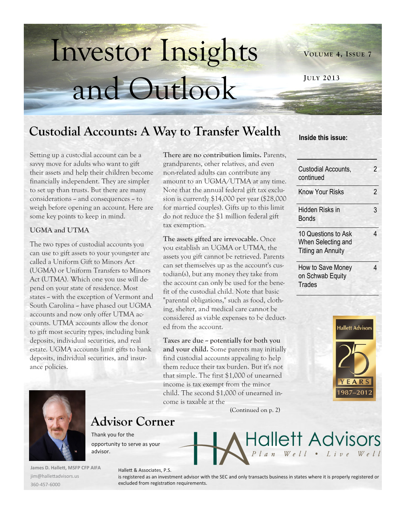# Investor Insights and Outlook

**VOLUME 4, ISSUE 7**

**JULY 2013**

## **Custodial Accounts: A Way to Transfer Wealth Inside this issue:**

Setting up a custodial account can be a savvy move for adults who want to gift their assets and help their children become financially independent. They are simpler to set up than trusts. But there are many considerations - and consequences -- to weigh before opening an account. Here are some key points to keep in mind.

#### **UGMA and UTMA**

The two types of custodial accounts you can use to gift assets to your youngster are called a Uniform Gift to Minors Act (UGMA) or Uniform Transfers to Minors Act (UTMA). Which one you use will depend on your state of residence. Most states - with the exception of Vermont and South Carolina -- have phased out UGMA accounts and now only offer UTMA accounts. UTMA accounts allow the donor to gift most security types, including bank deposits, individual securities, and real estate. UGMA accounts limit gifts to bank deposits, individual securities, and insurance policies.

**There are no contribution limits.** Parents, grandparents, other relatives, and even non-related adults can contribute any amount to an UGMA/UTMA at any time. Note that the annual federal gift tax exclusion is currently \$14,000 per year (\$28,000 for married couples). Gifts up to this limit do not reduce the \$1 million federal gift tax exemption.

**The assets gifted are irrevocable.** Once you establish an UGMA or UTMA, the assets you gift cannot be retrieved. Parents can set themselves up as the account's custodian(s), but any money they take from the account can only be used for the benefit of the custodial child. Note that basic "parental obligations," such as food, clothing, shelter, and medical care cannot be considered as viable expenses to be deducted from the account.

**Taxes are due -- potentially for both you and your child.** Some parents may initially find custodial accounts appealing to help them reduce their tax burden. But it's not that simple. The first \$1,000 of unearned income is tax exempt from the minor child. The second \$1,000 of unearned income is taxable at the

(Continued on p. 2)







### **Advisor Corner**

Thank you for the opportunity to serve as your advisor.

Hallett & Associates, P.S.

**James D. Hallett, MSFP CFP AIFA** jim@hallettadvisors.us 360-457-6000

#### is registered as an investment advisor with the SEC and only transacts business in states where it is properly registered or excluded from registration requirements.

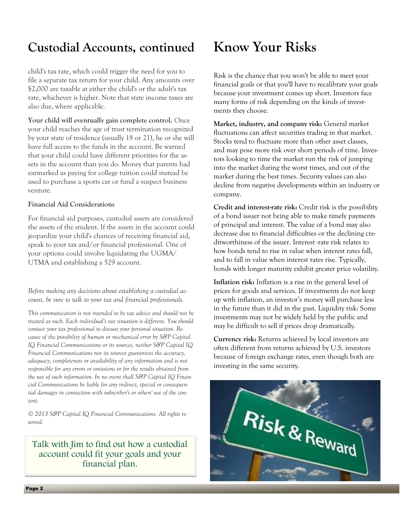## **Custodial Accounts, continued**

child's tax rate, which could trigger the need for you to file a separate tax return for your child. Any amounts over \$2,000 are taxable at either the child's or the adult's tax rate, whichever is higher. Note that state income taxes are also due, where applicable.

**Your child will eventually gain complete control.** Once your child reaches the age of trust termination recognized by your state of residence (usually 18 or 21), he or she will have full access to the funds in the account. Be warned that your child could have different priorities for the assets in the account than you do. Money that parents had earmarked as paying for college tuition could instead be used to purchase a sports car or fund a suspect business venture.

#### **Financial Aid Considerations**

For financial aid purposes, custodial assets are considered the assets of the student. If the assets in the account could jeopardize your child's chances of receiving financial aid, speak to your tax and/or financial professional. One of your options could involve liquidating the UGMA/ UTMA and establishing a 529 account.

*Before making any decisions about establishing a custodial account, be sure to talk to your tax and financial professionals.*

*This communication is not intended to be tax advice and should not be treated as such. Each individual's tax situation is different. You should contact your tax professional to discuss your personal situation. Because of the possibility of human or mechanical error by S&P Capital IQ Financial Communications or its sources, neither S&P Capital IQ Financial Communications nor its sources guarantees the accuracy, adequacy, completeness or availability of any information and is not responsible for any errors or omissions or for the results obtained from the use of such information. In no event shall S&P Capital IQ Financial Communications be liable for any indirect, special or consequential damages in connection with subscriber's or others' use of the content.* 

*© 2013 S&P Capital IQ Financial Communications. All rights reserved.*

#### Talk with Jim to find out how a custodial account could fit your goals and your financial plan.

## **Know Your Risks**

Risk is the chance that you won't be able to meet your financial goals or that you'll have to recalibrate your goals because your investment comes up short. Investors face many forms of risk depending on the kinds of investments they choose.

**Market, industry, and company risk:** General market fluctuations can affect securities trading in that market. Stocks tend to fluctuate more than other asset classes, and may pose more risk over short periods of time. Investors looking to time the market run the risk of jumping into the market during the worst times, and out of the market during the best times. Security values can also decline from negative developments within an industry or company.

**Credit and interest-rate risk:** Credit risk is the possibility of a bond issuer not being able to make timely payments of principal and interest. The value of a bond may also decrease due to financial difficulties or the declining creditworthiness of the issuer. Interest -rate risk relates to how bonds tend to rise in value when interest rates fall, and to fall in value when interest rates rise. Typically, bonds with longer maturity exhibit greater price volatility.

**Inflation risk:** Inflation is a rise in the general level of prices for goods and services. If investments do not keep up with inflation, an investor's money will purchase less in the future than it did in the past. Liquidity risk: Some investments may not be widely held by the public and may be difficult to sell if prices drop dramatically.

**Currency risk:** Returns achieved by local investors are often different from returns achieved by U.S. investors because of foreign exchange rates, even though both are investing in the same security.

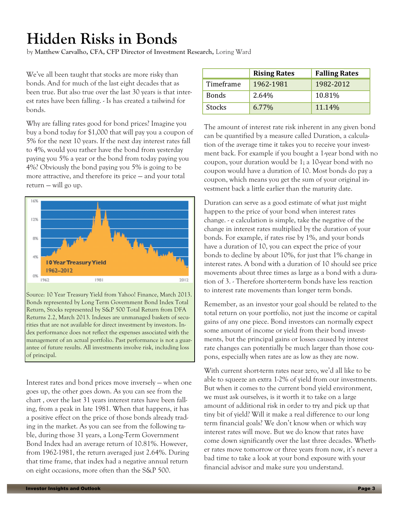## **Hidden Risks in Bonds**

by **Matthew Carvalho, CFA, CFP Director of Investment Research,** Loring Ward

We've all been taught that stocks are more risky than bonds. And for much of the last eight decades that as been true. But also true over the last 30 years is that interest rates have been falling. - Is has created a tailwind for bonds.

Why are falling rates good for bond prices? Imagine you buy a bond today for \$1,000 that will pay you a coupon of 5% for the next 10 years. If the next day interest rates fall to 4%, would you rather have the bond from yesterday paying you 5% a year or the bond from today paying you 4%? Obviously the bond paying you 5% is going to be more attractive, and therefore its price — and your total return — will go up.



Source: 10 Year Treasury Yield from Yahoo! Finance, March 2013. Bonds represented by Long Term Government Bond Index Total Return, Stocks represented by S&P 500 Total Return from DFA Returns 2.2, March 2013. Indexes are unmanaged baskets of securities that are not available for direct investment by investors. Index performance does not reflect the expenses associated with the management of an actual portfolio. Past performance is not a guarantee of future results. All investments involve risk, including loss of principal.

Interest rates and bond prices move inversely — when one goes up, the other goes down. As you can see from the chart , over the last 31 years interest rates have been falling, from a peak in late 1981. When that happens, it has a positive effect on the price of those bonds already trading in the market. As you can see from the following table, during those 31 years, a Long-Term Government Bond Index had an average return of 10.81%. However, from 1962-1981, the return averaged just 2.64%. During that time frame, that index had a negative annual return on eight occasions, more often than the S&P 500.

|               | <b>Rising Rates</b> | <b>Falling Rates</b> |
|---------------|---------------------|----------------------|
| Timeframe     | 1962-1981           | 1982-2012            |
| <b>Bonds</b>  | 2.64%               | 10.81%               |
| <b>Stocks</b> | 6.77%               | 11.14%               |

The amount of interest rate risk inherent in any given bond can be quantified by a measure called Duration, a calculation of the average time it takes you to receive your investment back. For example if you bought a 1-year bond with no coupon, your duration would be 1; a 10-year bond with no coupon would have a duration of 10. Most bonds do pay a coupon, which means you get the sum of your original investment back a little earlier than the maturity date.

Duration can serve as a good estimate of what just might happen to the price of your bond when interest rates change. - e calculation is simple, take the negative of the change in interest rates multiplied by the duration of your bonds. For example, if rates rise by 1%, and your bonds have a duration of 10, you can expect the price of your bonds to decline by about 10%, for just that 1% change in interest rates. A bond with a duration of 10 should see price movements about three times as large as a bond with a duration of 3. - Therefore shorter-term bonds have less reaction to interest rate movements than longer term bonds.

Remember, as an investor your goal should be related to the total return on your portfolio, not just the income or capital gains of any one piece. Bond investors can normally expect some amount of income or yield from their bond investments, but the principal gains or losses caused by interest rate changes can potentially be much larger than those coupons, especially when rates are as low as they are now.

With current short-term rates near zero, we'd all like to be able to squeeze an extra 1-2% of yield from our investments. But when it comes to the current bond yield environment, we must ask ourselves, is it worth it to take on a large amount of additional risk in order to try and pick up that tiny bit of yield? Will it make a real difference to our long term financial goals? We don't know when or which way interest rates will move. But we do know that rates have come down significantly over the last three decades. Whether rates move tomorrow or three years from now, it's never a bad time to take a look at your bond exposure with your financial advisor and make sure you understand.